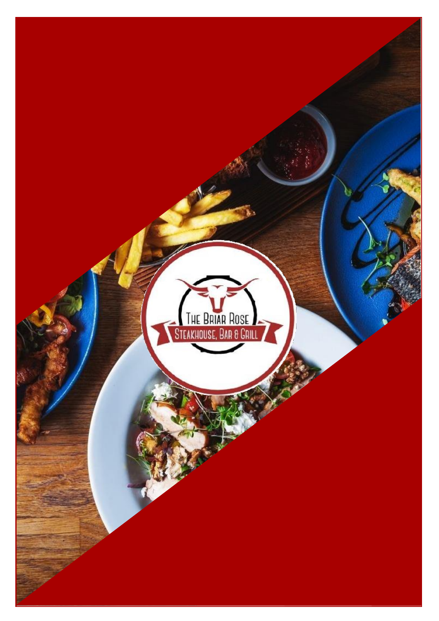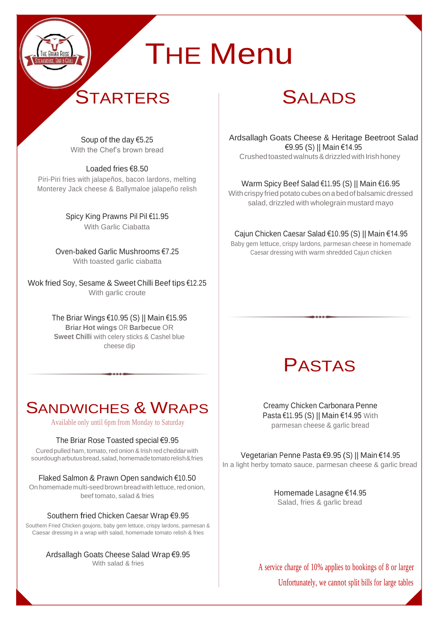# **THE Menu**

# **STARTERS**

# SALADS

Soup of the day €5.25 With the Chef's brown bread

Loaded fries €8.50 Piri-Piri fries with jalapeños, bacon lardons, melting

Monterey Jack cheese & Ballymaloe jalapeño relish

Spicy King Prawns Pil Pil €11.95 With Garlic Ciabatta

Oven-baked Garlic Mushrooms €7.25 With toasted garlic ciabatta

Wok fried Soy, Sesame & Sweet Chilli Beef tips €12.25 With garlic croute

> The Briar Wings €10.95 (S) || Main €15.95 **Briar Hot wings** OR **Barbecue** OR **Sweet Chilli** with celery sticks & Cashel blue cheese dip

### SANDWICHES & WRAPS

Available only until 6pm from Monday to Saturday

### The Briar Rose Toasted special €9.95

Cured pulled ham, tomato, red onion &Irish red cheddarwith sourdougharbutusbread,salad,homemadetomatorelish&fries

### Flaked Salmon & Prawn Open sandwich €10.50

On homemade multi-seed brown bread with lettuce, red onion, beef tomato, salad & fries

#### Southern fried Chicken Caesar Wrap €9.95

Southern Fried Chicken goujons, baby gem lettuce, crispy lardons, parmesan & Caesar dressing in a wrap with salad, homemade tomato relish & fries

#### Ardsallagh Goats Cheese Salad Wrap €9.95 With salad & fries

Ardsallagh Goats Cheese & Heritage Beetroot Salad €9.95 (S) || Main €14.95 Crushed toasted walnuts & drizzled with Irish honey

### Warm Spicy Beef Salad €11.95 (S) || Main €16.95

With crispy fried potato cubes on a bed of balsamic dressed salad, drizzled with wholegrain mustard mayo

#### Cajun Chicken Caesar Salad €10.95 (S) || Main €14.95

Baby gem lettuce, crispy lardons, parmesan cheese in homemade Caesar dressing with warm shredded Cajun chicken

### PASTAS

Creamy Chicken Carbonara Penne Pasta €11.95 (S) || Main €14.95 With parmesan cheese & garlic bread

Vegetarian Penne Pasta €9.95 (S) || Main €14.95 In a light herby tomato sauce, parmesan cheese & garlic bread

> Homemade Lasagne €14.95 Salad, fries & garlic bread

A service charge of 10% applies to bookings of 8 or larger Unfortunately, we cannot split bills for large tables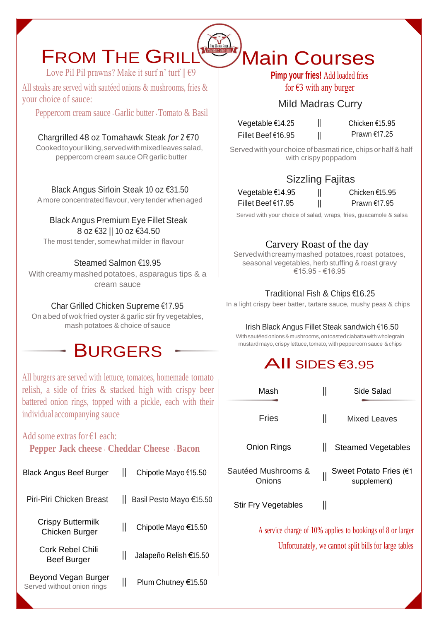# FROM THE GRILL

Love Pil Pil prawns? Make it surf n' turf  $\|\epsilon$ 9

All steaks are served with sautéed onions & mushrooms, fries & your choice of sauce:

Peppercorn cream sauce . Garlic butter . Tomato & Basil

Chargrilled 48 oz Tomahawk Steak *for 2* €70

Cooked to your liking, served with mixed leaves salad, peppercorn cream sauce OR garlic butter

Black Angus Sirloin Steak 10 oz €31.50

A more concentrated flavour, very tender when aged

#### Black Angus Premium Eye Fillet Steak 8 oz €32 || 10 oz €34.50

The most tender, somewhat milder in flavour

### Steamed Salmon €19.95

With creamy mashed potatoes, asparagus tips & a cream sauce

### Char Grilled Chicken Supreme €17.95

Onabedof wok friedoyster &garlic stir fry vegetables, mash potatoes & choice of sauce

### **BURGERS**

All burgers are served with lettuce, tomatoes, homemade tomato relish, a side of fries & stacked high with crispy beer battered onion rings, topped with a pickle, each with their individual accompanying sauce

### Add some extras for €1 each:

**Pepper Jack cheese** . **Cheddar Cheese** . **Bacon**

| <b>Black Angus Beef Burger</b> | Chipotle Mayo €15.50    |
|--------------------------------|-------------------------|
| Piri-Piri Chicken Breast       | Basil Pesto Mayo €15.50 |
| <b>Crispy Buttermilk</b>       | Ш                       |
| Chicken Burger                 | Chipotle Mayo €15.50    |
| Cork Rebel Chili               | Jalapeño Relish €15.50  |
| <b>Beef Burger</b>             | Ш                       |
| Beyond Vegan Burger            | II                      |
| Served without onion rings     | Plum Chutney €15.50     |

### Main Courses **Pimp your fries!** Add loaded fries

for  $\epsilon$ 3 with any burger

### Mild Madras Curry

Vegetable €14.25 || Fillet Beef €16.95 ||

Chicken €15.95 Prawn €17.25

Served with your choice of basmati rice, chips or half & half with crispy poppadom

### Sizzling Fajitas

| Vegetable €14.95   | II |
|--------------------|----|
| Fillet Beef €17.95 | II |

 $\overline{\phantom{a}}$ 

Chicken €15.95 Prawn €17.95

Served with your choice of salad, wraps, fries, guacamole & salsa

### Carvery Roast of the day

Served with creamy mashed potatoes, roast potatoes, seasonal vegetables, herb stuffing & roast gravy €15.95 - €16.95

### Traditional Fish & Chips €16.25

In a light crispy beer batter, tartare sauce, mushy peas & chips

### Irish Black Angus Fillet Steak sandwich €16.50

With sautéed onions & mushrooms, on toasted ciabatta with wholegrain mustard mayo, crispy lettuce, tomato, with peppercorn sauce & chips

### All SIDES €3.<sup>95</sup>

| Mash                                                       | Side Salad                            |  |
|------------------------------------------------------------|---------------------------------------|--|
| Fries                                                      | II<br>Mixed Leaves                    |  |
| <b>Onion Rings</b>                                         | Ш<br><b>Steamed Vegetables</b>        |  |
| Sautéed Mushrooms &<br>Onions                              | Sweet Potato Fries (€1<br>supplement) |  |
| <b>Stir Fry Vegetables</b>                                 | Ш                                     |  |
| A service charge of 10% applies to bookings of 8 or larger |                                       |  |

Unfortunately, we cannot split bills for large tables